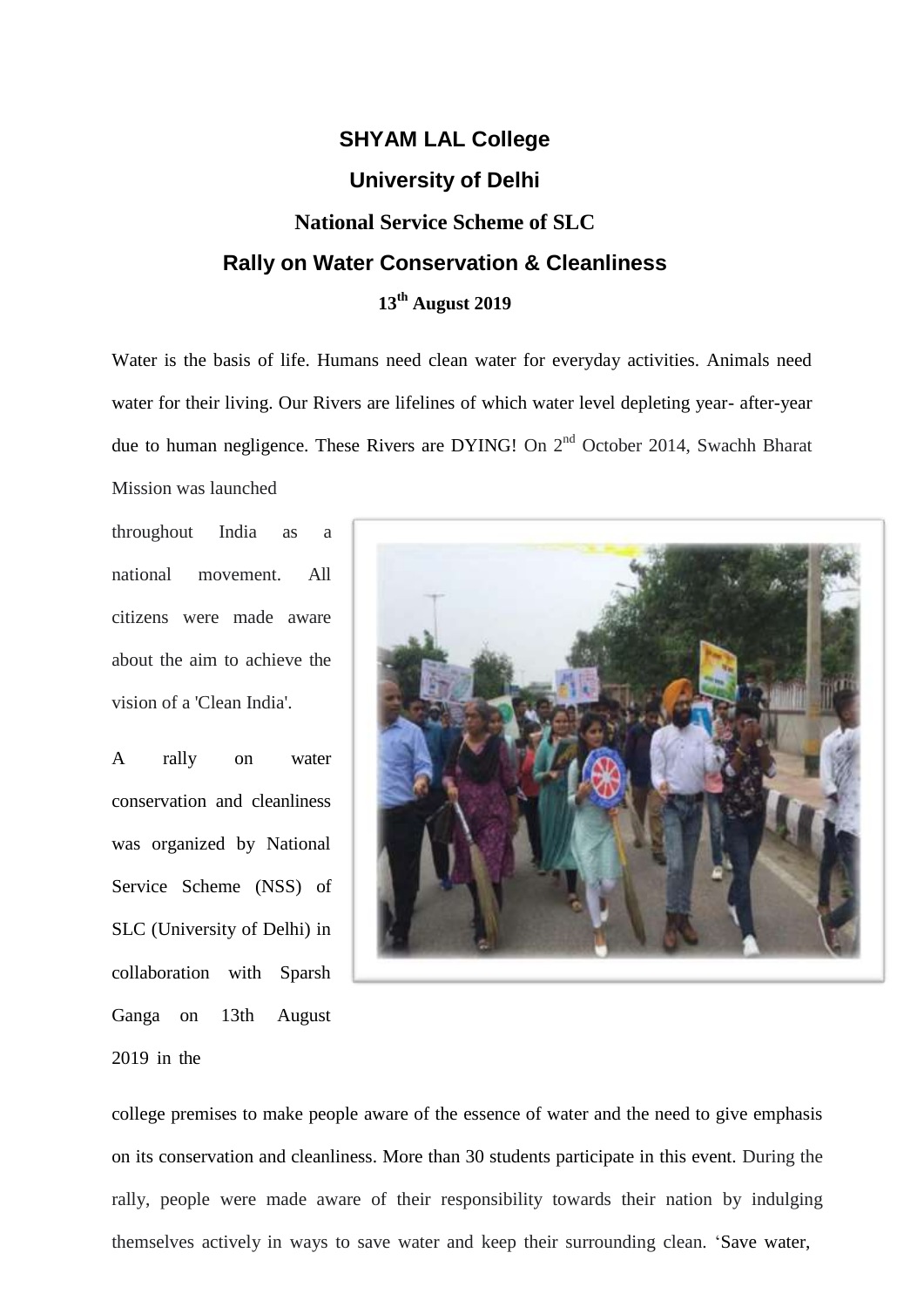## **SHYAM LAL College University of Delhi National Service Scheme of SLC Rally on Water Conservation & Cleanliness 13th August 2019**

Water is the basis of life. Humans need clean water for everyday activities. Animals need water for their living. Our Rivers are lifelines of which water level depleting year- after-year due to human negligence. These Rivers are DYING! On 2<sup>nd</sup> October 2014, Swachh Bharat Mission was launched

throughout India as a national movement. All citizens were made aware about the aim to achieve the vision of a 'Clean India'.

A rally on water conservation and cleanliness was organized by National Service Scheme (NSS) of SLC (University of Delhi) in collaboration with Sparsh Ganga on 13th August 2019 in the



college premises to make people aware of the essence of water and the need to give emphasis on its conservation and cleanliness. More than 30 students participate in this event. During the rally, people were made aware of their responsibility towards their nation by indulging themselves actively in ways to save water and keep their surrounding clean. 'Save water,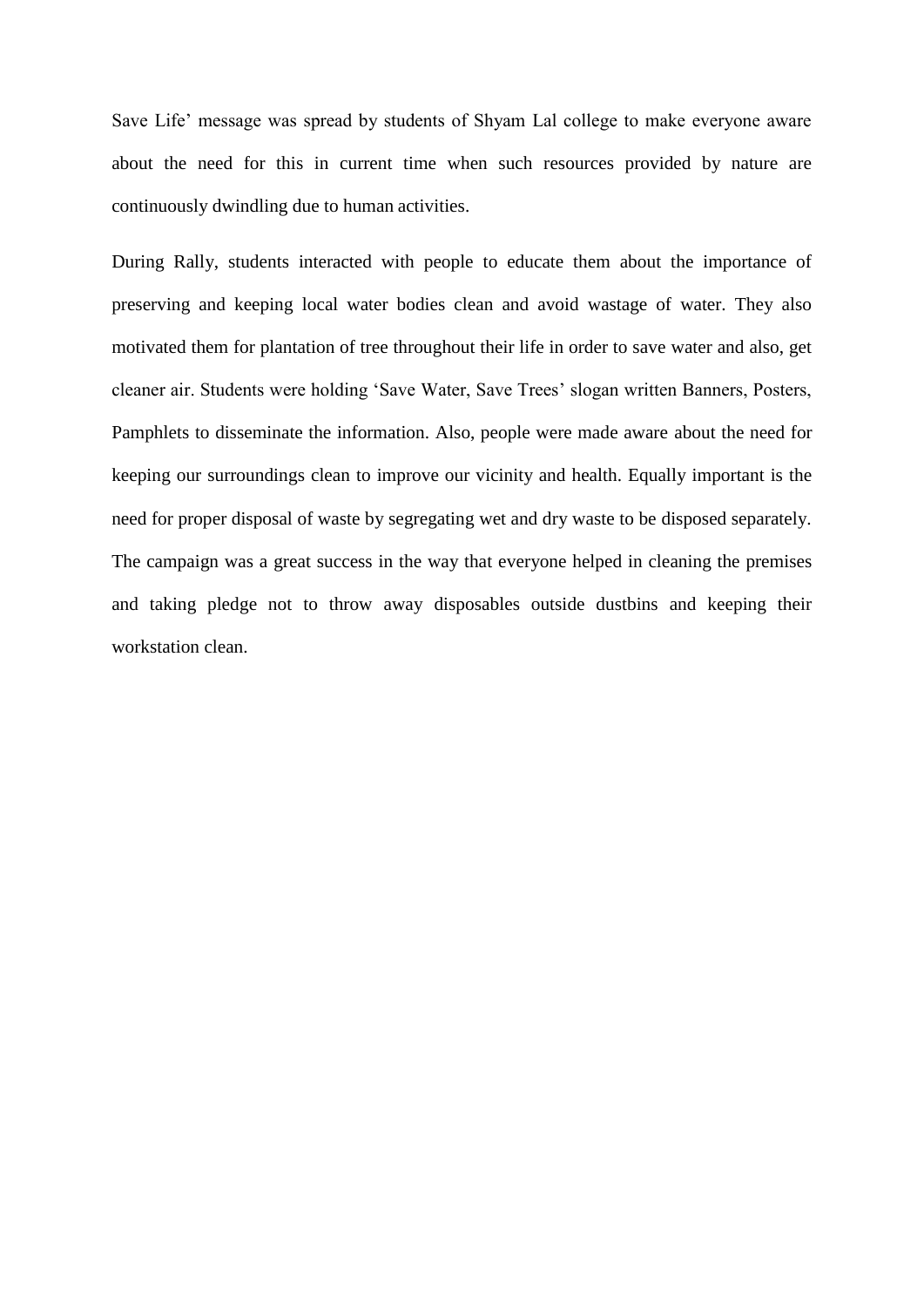Save Life' message was spread by students of Shyam Lal college to make everyone aware about the need for this in current time when such resources provided by nature are continuously dwindling due to human activities.

During Rally, students interacted with people to educate them about the importance of preserving and keeping local water bodies clean and avoid wastage of water. They also motivated them for plantation of tree throughout their life in order to save water and also, get cleaner air. Students were holding 'Save Water, Save Trees' slogan written Banners, Posters, Pamphlets to disseminate the information. Also, people were made aware about the need for keeping our surroundings clean to improve our vicinity and health. Equally important is the need for proper disposal of waste by segregating wet and dry waste to be disposed separately. The campaign was a great success in the way that everyone helped in cleaning the premises and taking pledge not to throw away disposables outside dustbins and keeping their workstation clean.